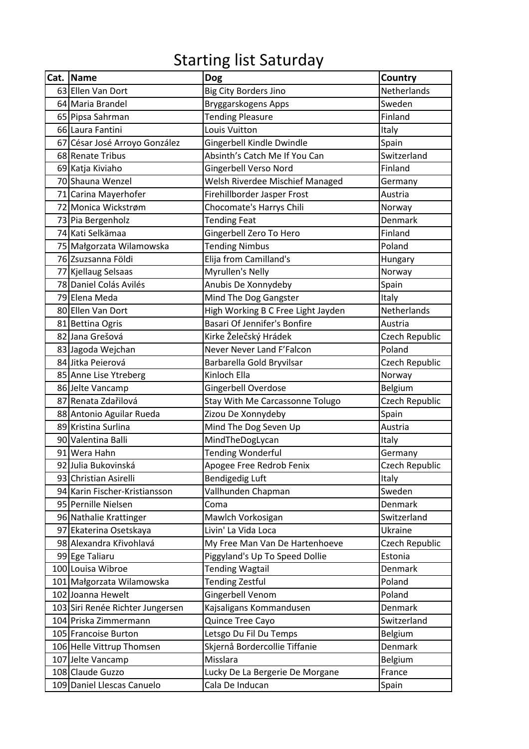## Starting list Saturday

| Cat. Name                        | <b>Dog</b>                         | Country            |
|----------------------------------|------------------------------------|--------------------|
| 63 Ellen Van Dort                | Big City Borders Jino              | <b>Netherlands</b> |
| 64 Maria Brandel                 | Bryggarskogens Apps                | Sweden             |
| 65 Pipsa Sahrman                 | <b>Tending Pleasure</b>            | Finland            |
| 66 Laura Fantini                 | Louis Vuitton                      | Italy              |
| 67 César José Arroyo González    | Gingerbell Kindle Dwindle          | Spain              |
| 68 Renate Tribus                 | Absinth's Catch Me If You Can      | Switzerland        |
| 69 Katja Kiviaho                 | Gingerbell Verso Nord              | Finland            |
| 70 Shauna Wenzel                 | Welsh Riverdee Mischief Managed    | Germany            |
| 71 Carina Mayerhofer             | Firehillborder Jasper Frost        | Austria            |
| 72 Monica Wickstrøm              | Chocomate's Harrys Chili           | Norway             |
| 73 Pia Bergenholz                | <b>Tending Feat</b>                | Denmark            |
| 74 Kati Selkämaa                 | Gingerbell Zero To Hero            | Finland            |
| 75 Małgorzata Wilamowska         | <b>Tending Nimbus</b>              | Poland             |
| 76 Zsuzsanna Földi               | Elija from Camilland's             | Hungary            |
| 77 Kjellaug Selsaas              | Myrullen's Nelly                   | Norway             |
| 78 Daniel Colás Avilés           | Anubis De Xonnydeby                | Spain              |
| 79 Elena Meda                    | Mind The Dog Gangster              | Italy              |
| 80 Ellen Van Dort                | High Working B C Free Light Jayden | Netherlands        |
| 81 Bettina Ogris                 | Basari Of Jennifer's Bonfire       | Austria            |
| 82 Jana Grešová                  | Kirke Želečský Hrádek              | Czech Republic     |
| 83 Jagoda Wejchan                | Never Never Land F'Falcon          | Poland             |
| 84 Jitka Peierová                | Barbarella Gold Bryvilsar          | Czech Republic     |
| 85 Anne Lise Ytreberg            | Kinloch Ella                       | Norway             |
| 86 Jelte Vancamp                 | Gingerbell Overdose                | <b>Belgium</b>     |
| 87 Renata Zdařilová              | Stay With Me Carcassonne Tolugo    | Czech Republic     |
| 88 Antonio Aguilar Rueda         | Zizou De Xonnydeby                 | Spain              |
| 89 Kristina Surlina              | Mind The Dog Seven Up              | Austria            |
| 90 Valentina Balli               | MindTheDogLycan                    | Italy              |
| 91 Wera Hahn                     | <b>Tending Wonderful</b>           | Germany            |
| 92 Julia Bukovinská              | Apogee Free Redrob Fenix           | Czech Republic     |
| 93 Christian Asirelli            | <b>Bendigedig Luft</b>             | Italy              |
| 94 Karin Fischer-Kristiansson    | Vallhunden Chapman                 | Sweden             |
| 95 Pernille Nielsen              | Coma                               | Denmark            |
| 96 Nathalie Krattinger           | Mawlch Vorkosigan                  | Switzerland        |
| 97 Ekaterina Osetskaya           | Livin' La Vida Loca                | Ukraine            |
| 98 Alexandra Křivohlavá          | My Free Man Van De Hartenhoeve     | Czech Republic     |
| 99 Ege Taliaru                   | Piggyland's Up To Speed Dollie     | Estonia            |
| 100 Louisa Wibroe                | <b>Tending Wagtail</b>             | Denmark            |
| 101 Małgorzata Wilamowska        | <b>Tending Zestful</b>             | Poland             |
| 102 Joanna Hewelt                | Gingerbell Venom                   | Poland             |
| 103 Siri Renée Richter Jungersen | Kajsaligans Kommandusen            | Denmark            |
| 104 Priska Zimmermann            | Quince Tree Cayo                   | Switzerland        |
| 105 Francoise Burton             | Letsgo Du Fil Du Temps             | Belgium            |
| 106 Helle Vittrup Thomsen        | Skjernå Bordercollie Tiffanie      | Denmark            |
| 107 Jelte Vancamp                | Misslara                           | Belgium            |
| 108 Claude Guzzo                 | Lucky De La Bergerie De Morgane    | France             |
| 109 Daniel Llescas Canuelo       | Cala De Inducan                    | Spain              |